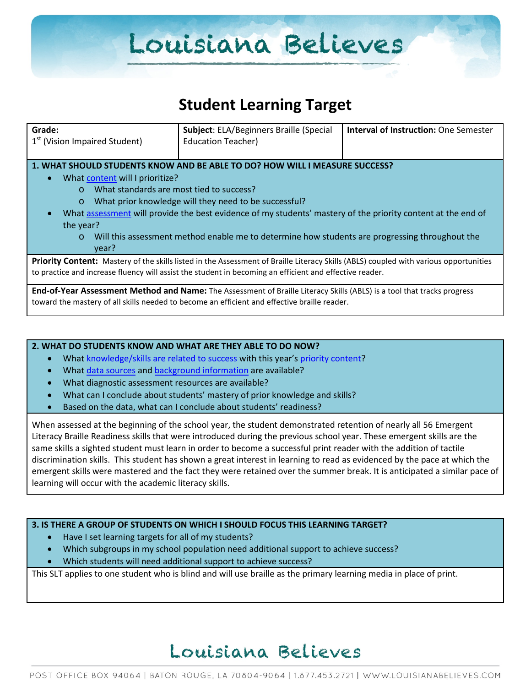# Louisiana Believes

### **Student Learning Target**

| Grade:<br>1 <sup>st</sup> (Vision Impaired Student)                                                                                                                                                                                                                                                                                                                                                                                                                                                        | <b>Subject: ELA/Beginners Braille (Special</b><br><b>Education Teacher)</b> | <b>Interval of Instruction: One Semester</b> |  |  |
|------------------------------------------------------------------------------------------------------------------------------------------------------------------------------------------------------------------------------------------------------------------------------------------------------------------------------------------------------------------------------------------------------------------------------------------------------------------------------------------------------------|-----------------------------------------------------------------------------|----------------------------------------------|--|--|
| 1. WHAT SHOULD STUDENTS KNOW AND BE ABLE TO DO? HOW WILL I MEASURE SUCCESS?<br>What content will I prioritize?<br>$\bullet$<br>What standards are most tied to success?<br>$\Omega$<br>What prior knowledge will they need to be successful?<br>$\circ$<br>What assessment will provide the best evidence of my students' mastery of the priority content at the end of<br>the year?<br>Will this assessment method enable me to determine how students are progressing throughout the<br>$\circ$<br>vear? |                                                                             |                                              |  |  |
| Priority Content: Mastery of the skills listed in the Assessment of Braille Literacy Skills (ABLS) coupled with various opportunities<br>to practice and increase fluency will assist the student in becoming an efficient and effective reader.                                                                                                                                                                                                                                                           |                                                                             |                                              |  |  |
| End-of-Year Assessment Method and Name: The Assessment of Braille Literacy Skills (ABLS) is a tool that tracks progress<br>toward the mastery of all skills needed to become an efficient and effective braille reader.                                                                                                                                                                                                                                                                                    |                                                                             |                                              |  |  |

#### **2. WHAT DO STUDENTS KNOW AND WHAT ARE THEY ABLE TO DO NOW?**

- Wha[t knowledge/skills are related to success](http://www.louisianabelieves.com/academics/2014-2015-curricular-package) with this year's [priority content?](http://www.louisianabelieves.com/resources/classroom-support-toolbox/teacher-support-toolbox/standards)
- Wha[t data sources](http://www.louisianabelieves.com/resources/classroom-support-toolbox/teacher-support-toolbox/student-achievement-results) and [background information](http://www.louisianabelieves.com/resources/library/data-center) are available?
- What diagnostic assessment resources are available?
- What can I conclude about students' mastery of prior knowledge and skills?
- Based on the data, what can I conclude about students' readiness?

When assessed at the beginning of the school year, the student demonstrated retention of nearly all 56 Emergent Literacy Braille Readiness skills that were introduced during the previous school year. These emergent skills are the same skills a sighted student must learn in order to become a successful print reader with the addition of tactile discrimination skills. This student has shown a great interest in learning to read as evidenced by the pace at which the emergent skills were mastered and the fact they were retained over the summer break. It is anticipated a similar pace of learning will occur with the academic literacy skills.

#### **3. IS THERE A GROUP OF STUDENTS ON WHICH I SHOULD FOCUS THIS LEARNING TARGET?**

- Have I set learning targets for all of my students?
- Which subgroups in my school population need additional support to achieve success?
- Which students will need additional support to achieve success?

This SLT applies to one student who is blind and will use braille as the primary learning media in place of print.

## Louisiana Believes